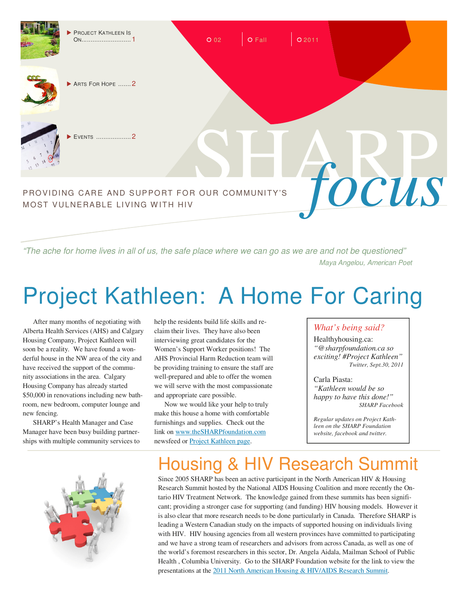

"The ache for home lives in all of us, the safe place where we can go as we are and not be questioned" Maya Angelou, American Poet

# Project Kathleen: A Home For Caring

After many months of negotiating with Alberta Health Services (AHS) and Calgary Housing Company, Project Kathleen will soon be a reality. We have found a wonderful house in the NW area of the city and have received the support of the community associations in the area. Calgary Housing Company has already started \$50,000 in renovations including new bathroom, new bedroom, computer lounge and new fencing.

SHARP's Health Manager and Case Manager have been busy building partnerships with multiple community services to



help the residents build life skills and reclaim their lives. They have also been interviewing great candidates for the Women's Support Worker positions! The AHS Provincial Harm Reduction team will be providing training to ensure the staff are well-prepared and able to offer the women we will serve with the most compassionate and appropriate care possible.

Now we would like your help to truly make this house a home with comfortable furnishings and supplies. Check out the link on www.theSHARPfoundation.com newsfeed or Project Kathleen page.

#### *What's being said?*

Healthyhousing.ca: *"@sharpfoundation.ca so exciting! #Project Kathleen" Twitter, Sept.30, 2011* 

Carla Piasta: *"Kathleen would be so happy to have this done!" SHARP Facebook* 

*Regular updates on Project Kathleen on the SHARP Foundation website, facebook and twitter.* 

# Housing & HIV Research Summit

Since 2005 SHARP has been an active participant in the North American HIV & Housing Research Summit hosted by the National AIDS Housing Coalition and more recently the Ontario HIV Treatment Network. The knowledge gained from these summits has been significant; providing a stronger case for supporting (and funding) HIV housing models. However it is also clear that more research needs to be done particularly in Canada. Therefore SHARP is leading a Western Canadian study on the impacts of supported housing on individuals living with HIV. HIV housing agencies from all western provinces have committed to participating and we have a strong team of researchers and advisors from across Canada, as well as one of the world's foremost researchers in this sector, Dr. Angela Aidala, Mailman School of Public Health , Columbia University. Go to the SHARP Foundation website for the link to view the presentations at the 2011 North American Housing & HIV/AIDS Research Summit.